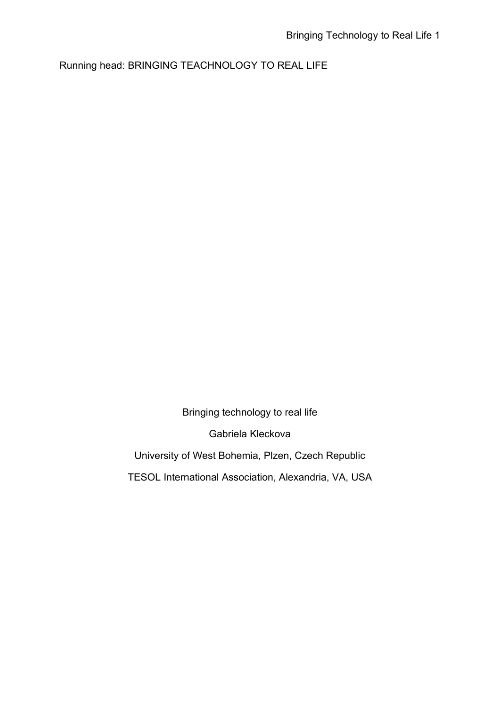Running head: BRINGING TEACHNOLOGY TO REAL LIFE

Bringing technology to real life

Gabriela Kleckova

University of West Bohemia, Plzen, Czech Republic

TESOL International Association, Alexandria, VA, USA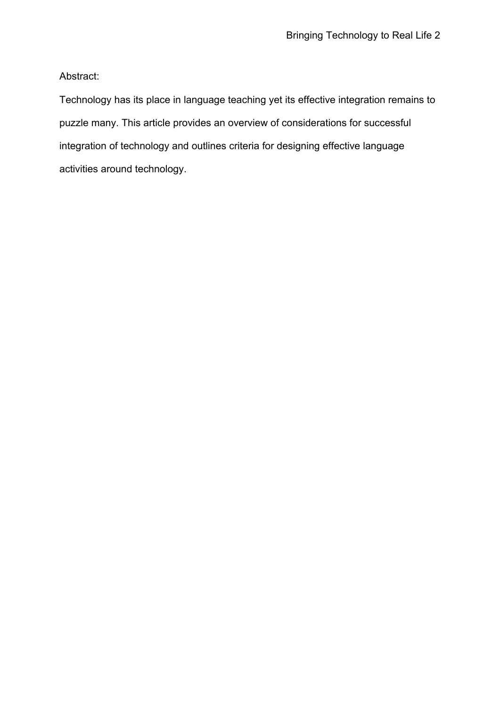Abstract:

Technology has its place in language teaching yet its effective integration remains to puzzle many. This article provides an overview of considerations for successful integration of technology and outlines criteria for designing effective language activities around technology.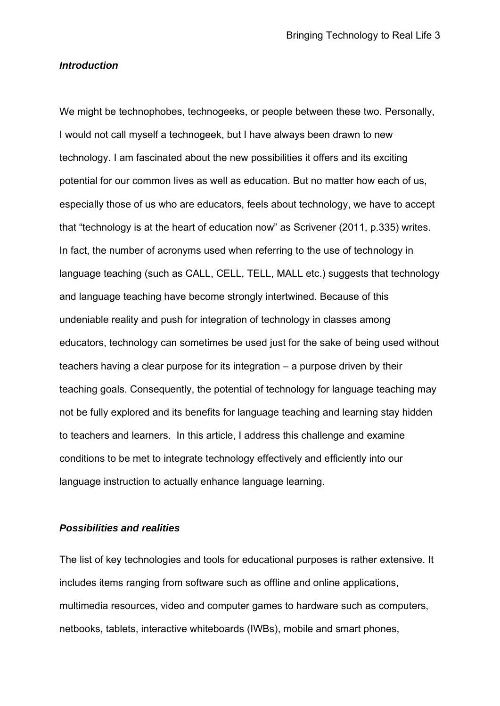## *Introduction*

We might be technophobes, technogeeks, or people between these two. Personally, I would not call myself a technogeek, but I have always been drawn to new technology. I am fascinated about the new possibilities it offers and its exciting potential for our common lives as well as education. But no matter how each of us, especially those of us who are educators, feels about technology, we have to accept that "technology is at the heart of education now" as Scrivener (2011, p.335) writes. In fact, the number of acronyms used when referring to the use of technology in language teaching (such as CALL, CELL, TELL, MALL etc.) suggests that technology and language teaching have become strongly intertwined. Because of this undeniable reality and push for integration of technology in classes among educators, technology can sometimes be used just for the sake of being used without teachers having a clear purpose for its integration – a purpose driven by their teaching goals. Consequently, the potential of technology for language teaching may not be fully explored and its benefits for language teaching and learning stay hidden to teachers and learners. In this article, I address this challenge and examine conditions to be met to integrate technology effectively and efficiently into our language instruction to actually enhance language learning.

# *Possibilities and realities*

The list of key technologies and tools for educational purposes is rather extensive. It includes items ranging from software such as offline and online applications, multimedia resources, video and computer games to hardware such as computers, netbooks, tablets, interactive whiteboards (IWBs), mobile and smart phones,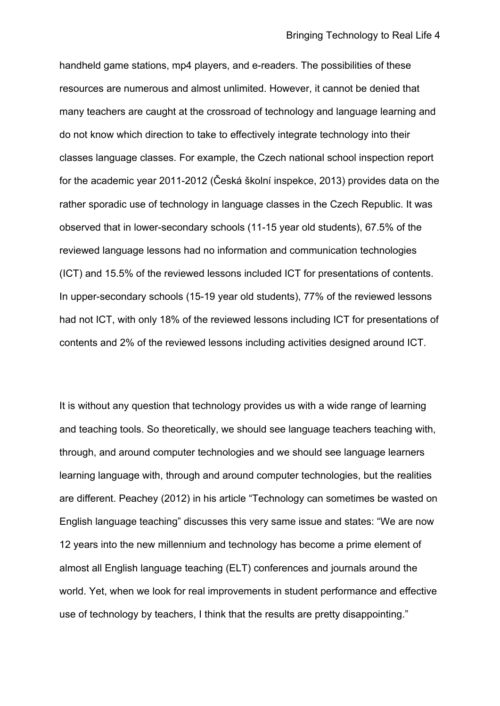handheld game stations, mp4 players, and e-readers. The possibilities of these resources are numerous and almost unlimited. However, it cannot be denied that many teachers are caught at the crossroad of technology and language learning and do not know which direction to take to effectively integrate technology into their classes language classes. For example, the Czech national school inspection report for the academic year 2011-2012 (Česká školní inspekce, 2013) provides data on the rather sporadic use of technology in language classes in the Czech Republic. It was observed that in lower-secondary schools (11-15 year old students), 67.5% of the reviewed language lessons had no information and communication technologies (ICT) and 15.5% of the reviewed lessons included ICT for presentations of contents. In upper-secondary schools (15-19 year old students), 77% of the reviewed lessons had not ICT, with only 18% of the reviewed lessons including ICT for presentations of contents and 2% of the reviewed lessons including activities designed around ICT.

It is without any question that technology provides us with a wide range of learning and teaching tools. So theoretically, we should see language teachers teaching with, through, and around computer technologies and we should see language learners learning language with, through and around computer technologies, but the realities are different. Peachey (2012) in his article "Technology can sometimes be wasted on English language teaching" discusses this very same issue and states: "We are now 12 years into the new millennium and technology has become a prime element of almost all English language teaching (ELT) conferences and journals around the world. Yet, when we look for real improvements in student performance and effective use of technology by teachers, I think that the results are pretty disappointing."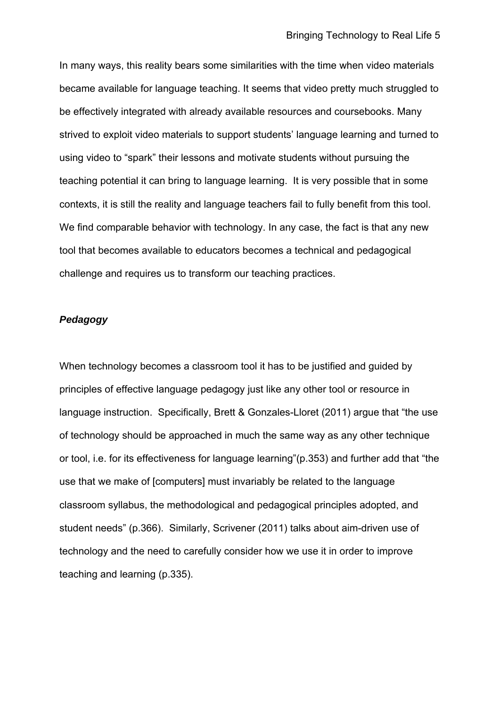In many ways, this reality bears some similarities with the time when video materials became available for language teaching. It seems that video pretty much struggled to be effectively integrated with already available resources and coursebooks. Many strived to exploit video materials to support students' language learning and turned to using video to "spark" their lessons and motivate students without pursuing the teaching potential it can bring to language learning. It is very possible that in some contexts, it is still the reality and language teachers fail to fully benefit from this tool. We find comparable behavior with technology. In any case, the fact is that any new tool that becomes available to educators becomes a technical and pedagogical challenge and requires us to transform our teaching practices.

### *Pedagogy*

When technology becomes a classroom tool it has to be justified and guided by principles of effective language pedagogy just like any other tool or resource in language instruction. Specifically, Brett & Gonzales-Lloret (2011) argue that "the use of technology should be approached in much the same way as any other technique or tool, i.e. for its effectiveness for language learning"(p.353) and further add that "the use that we make of [computers] must invariably be related to the language classroom syllabus, the methodological and pedagogical principles adopted, and student needs" (p.366). Similarly, Scrivener (2011) talks about aim-driven use of technology and the need to carefully consider how we use it in order to improve teaching and learning (p.335).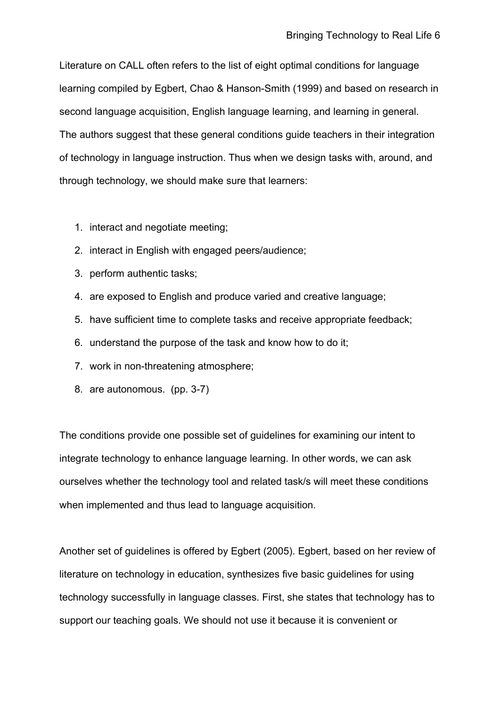Literature on CALL often refers to the list of eight optimal conditions for language learning compiled by Egbert, Chao & Hanson-Smith (1999) and based on research in second language acquisition, English language learning, and learning in general. The authors suggest that these general conditions guide teachers in their integration of technology in language instruction. Thus when we design tasks with, around, and through technology, we should make sure that learners:

- 1. interact and negotiate meeting;
- 2. interact in English with engaged peers/audience;
- 3. perform authentic tasks;
- 4. are exposed to English and produce varied and creative language;
- 5. have sufficient time to complete tasks and receive appropriate feedback;
- 6. understand the purpose of the task and know how to do it;
- 7. work in non-threatening atmosphere;
- 8. are autonomous. (pp. 3-7)

The conditions provide one possible set of guidelines for examining our intent to integrate technology to enhance language learning. In other words, we can ask ourselves whether the technology tool and related task/s will meet these conditions when implemented and thus lead to language acquisition.

Another set of guidelines is offered by Egbert (2005). Egbert, based on her review of literature on technology in education, synthesizes five basic guidelines for using technology successfully in language classes. First, she states that technology has to support our teaching goals. We should not use it because it is convenient or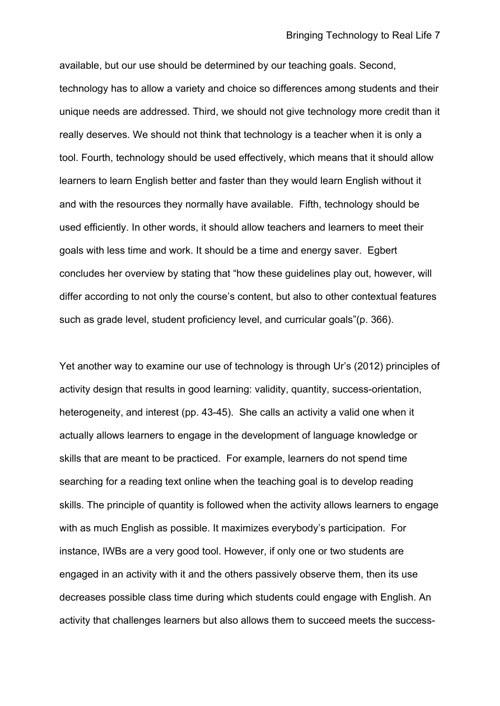available, but our use should be determined by our teaching goals. Second, technology has to allow a variety and choice so differences among students and their unique needs are addressed. Third, we should not give technology more credit than it really deserves. We should not think that technology is a teacher when it is only a tool. Fourth, technology should be used effectively, which means that it should allow learners to learn English better and faster than they would learn English without it and with the resources they normally have available. Fifth, technology should be used efficiently. In other words, it should allow teachers and learners to meet their goals with less time and work. It should be a time and energy saver. Egbert concludes her overview by stating that "how these guidelines play out, however, will differ according to not only the course's content, but also to other contextual features such as grade level, student proficiency level, and curricular goals"(p. 366).

Yet another way to examine our use of technology is through Ur's (2012) principles of activity design that results in good learning: validity, quantity, success-orientation, heterogeneity, and interest (pp. 43-45). She calls an activity a valid one when it actually allows learners to engage in the development of language knowledge or skills that are meant to be practiced. For example, learners do not spend time searching for a reading text online when the teaching goal is to develop reading skills. The principle of quantity is followed when the activity allows learners to engage with as much English as possible. It maximizes everybody's participation. For instance, IWBs are a very good tool. However, if only one or two students are engaged in an activity with it and the others passively observe them, then its use decreases possible class time during which students could engage with English. An activity that challenges learners but also allows them to succeed meets the success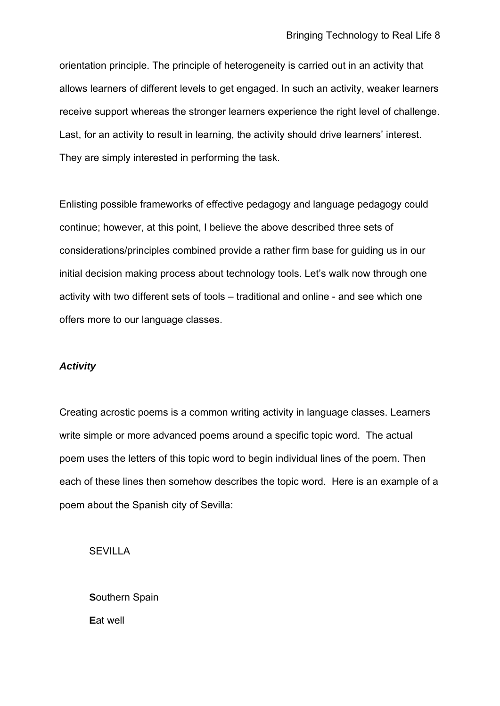orientation principle. The principle of heterogeneity is carried out in an activity that allows learners of different levels to get engaged. In such an activity, weaker learners receive support whereas the stronger learners experience the right level of challenge. Last, for an activity to result in learning, the activity should drive learners' interest. They are simply interested in performing the task.

Enlisting possible frameworks of effective pedagogy and language pedagogy could continue; however, at this point, I believe the above described three sets of considerations/principles combined provide a rather firm base for guiding us in our initial decision making process about technology tools. Let's walk now through one activity with two different sets of tools – traditional and online - and see which one offers more to our language classes.

## *Activity*

Creating acrostic poems is a common writing activity in language classes. Learners write simple or more advanced poems around a specific topic word. The actual poem uses the letters of this topic word to begin individual lines of the poem. Then each of these lines then somehow describes the topic word. Here is an example of a poem about the Spanish city of Sevilla:

**SEVILLA** 

**S**outhern Spain **E**at well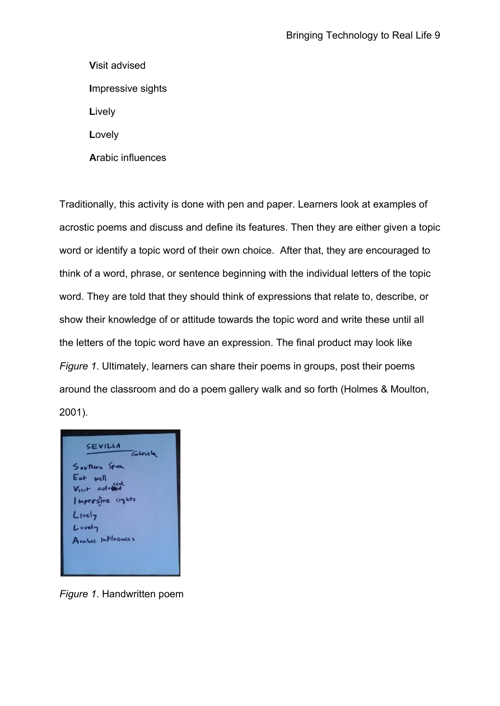**V**isit advised **I**mpressive sights **L**ively **L**ovely **A**rabic influences

Traditionally, this activity is done with pen and paper. Learners look at examples of acrostic poems and discuss and define its features. Then they are either given a topic word or identify a topic word of their own choice. After that, they are encouraged to think of a word, phrase, or sentence beginning with the individual letters of the topic word. They are told that they should think of expressions that relate to, describe, or show their knowledge of or attitude towards the topic word and write these until all the letters of the topic word have an expression. The final product may look like *Figure 1*. Ultimately, learners can share their poems in groups, post their poems around the classroom and do a poem gallery walk and so forth (Holmes & Moulton, 2001).



*Figure 1*. Handwritten poem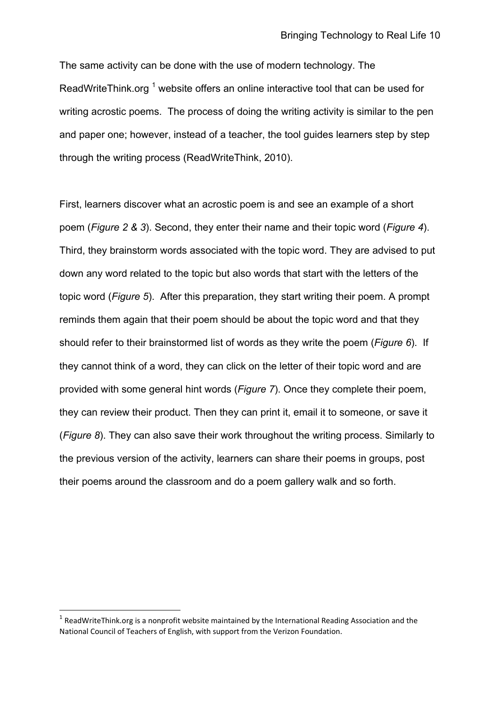The same activity can be done with the use of modern technology. The ReadWriteThink.org  $1$  website offers an online interactive tool that can be used for writing acrostic poems. The process of doing the writing activity is similar to the pen and paper one; however, instead of a teacher, the tool guides learners step by step through the writing process (ReadWriteThink, 2010).

First, learners discover what an acrostic poem is and see an example of a short poem (*Figure 2 & 3*). Second, they enter their name and their topic word (*Figure 4*). Third, they brainstorm words associated with the topic word. They are advised to put down any word related to the topic but also words that start with the letters of the topic word (*Figure 5*). After this preparation, they start writing their poem. A prompt reminds them again that their poem should be about the topic word and that they should refer to their brainstormed list of words as they write the poem (*Figure 6*). If they cannot think of a word, they can click on the letter of their topic word and are provided with some general hint words (*Figure 7*). Once they complete their poem, they can review their product. Then they can print it, email it to someone, or save it (*Figure 8*). They can also save their work throughout the writing process. Similarly to the previous version of the activity, learners can share their poems in groups, post their poems around the classroom and do a poem gallery walk and so forth.

 $<sup>1</sup>$  ReadWriteThink.org is a nonprofit website maintained by the International Reading Association and the</sup> National Council of Teachers of English, with support from the Verizon Foundation.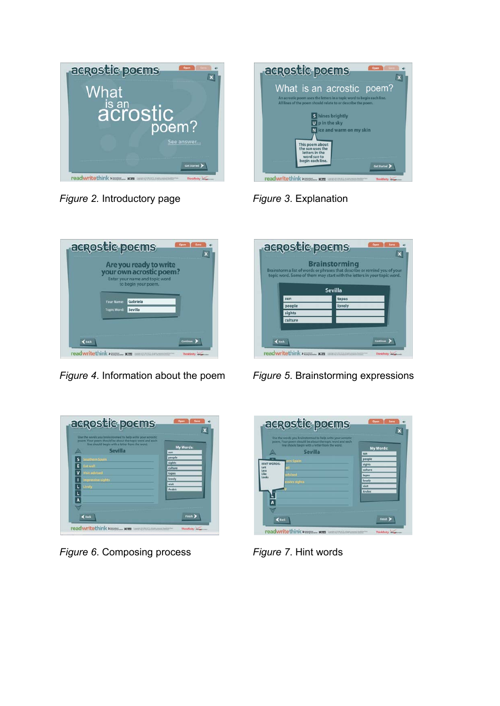



*Figure 2.* Introductory page *Figure 3*. Explanation



*Figure 4*. Information about the poem *Figure 5*. Brainstorming expressions



*Figure 6*. Composing process *Figure 7*. Hint words

|                | <b>Brainstorming</b><br>Brainstorm a list of words or phrases that describe or remind you of your<br>topic word. Some of them may start with the letters in your topic word. |
|----------------|------------------------------------------------------------------------------------------------------------------------------------------------------------------------------|
| <b>Sevilla</b> |                                                                                                                                                                              |
| sun            | tapas                                                                                                                                                                        |
| people         | lovely                                                                                                                                                                       |
| sights         |                                                                                                                                                                              |
| culture        |                                                                                                                                                                              |
|                |                                                                                                                                                                              |
|                |                                                                                                                                                                              |

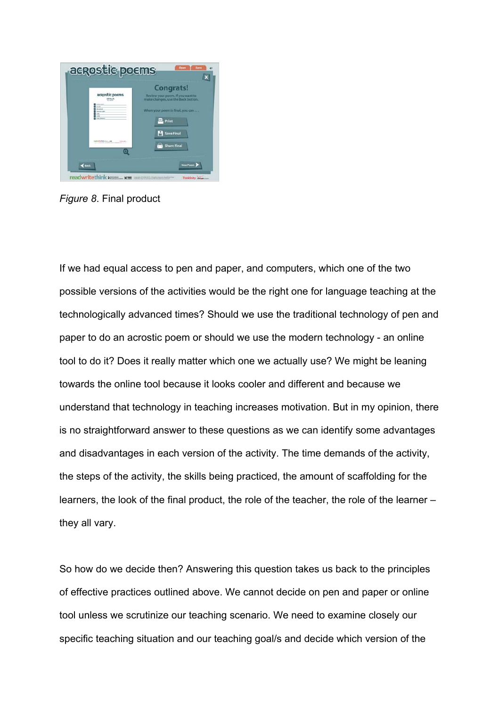

*Figure 8*. Final product

If we had equal access to pen and paper, and computers, which one of the two possible versions of the activities would be the right one for language teaching at the technologically advanced times? Should we use the traditional technology of pen and paper to do an acrostic poem or should we use the modern technology - an online tool to do it? Does it really matter which one we actually use? We might be leaning towards the online tool because it looks cooler and different and because we understand that technology in teaching increases motivation. But in my opinion, there is no straightforward answer to these questions as we can identify some advantages and disadvantages in each version of the activity. The time demands of the activity, the steps of the activity, the skills being practiced, the amount of scaffolding for the learners, the look of the final product, the role of the teacher, the role of the learner – they all vary.

So how do we decide then? Answering this question takes us back to the principles of effective practices outlined above. We cannot decide on pen and paper or online tool unless we scrutinize our teaching scenario. We need to examine closely our specific teaching situation and our teaching goal/s and decide which version of the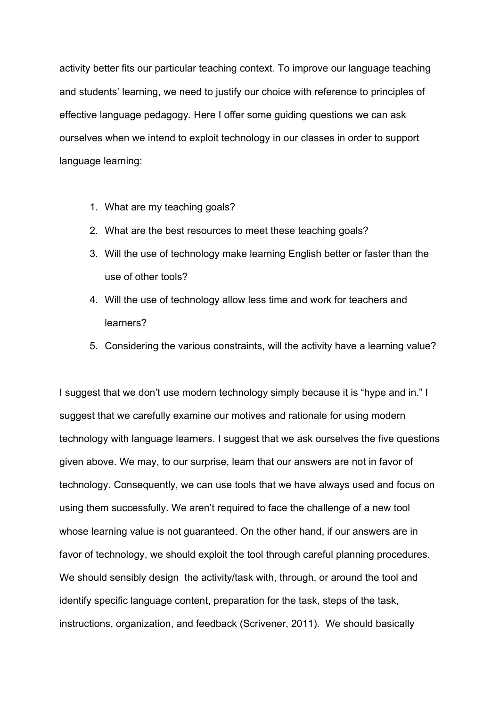activity better fits our particular teaching context. To improve our language teaching and students' learning, we need to justify our choice with reference to principles of effective language pedagogy. Here I offer some guiding questions we can ask ourselves when we intend to exploit technology in our classes in order to support language learning:

- 1. What are my teaching goals?
- 2. What are the best resources to meet these teaching goals?
- 3. Will the use of technology make learning English better or faster than the use of other tools?
- 4. Will the use of technology allow less time and work for teachers and learners?
- 5. Considering the various constraints, will the activity have a learning value?

I suggest that we don't use modern technology simply because it is "hype and in." I suggest that we carefully examine our motives and rationale for using modern technology with language learners. I suggest that we ask ourselves the five questions given above. We may, to our surprise, learn that our answers are not in favor of technology. Consequently, we can use tools that we have always used and focus on using them successfully. We aren't required to face the challenge of a new tool whose learning value is not guaranteed. On the other hand, if our answers are in favor of technology, we should exploit the tool through careful planning procedures. We should sensibly design the activity/task with, through, or around the tool and identify specific language content, preparation for the task, steps of the task, instructions, organization, and feedback (Scrivener, 2011). We should basically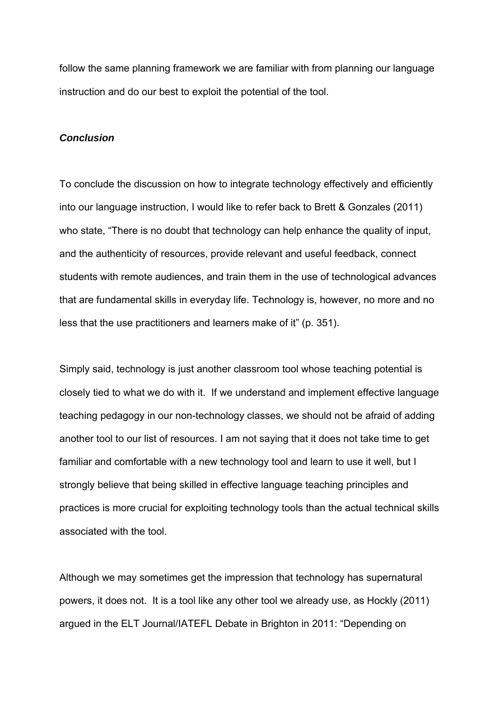follow the same planning framework we are familiar with from planning our language instruction and do our best to exploit the potential of the tool.

## *Conclusion*

To conclude the discussion on how to integrate technology effectively and efficiently into our language instruction, I would like to refer back to Brett & Gonzales (2011) who state, "There is no doubt that technology can help enhance the quality of input, and the authenticity of resources, provide relevant and useful feedback, connect students with remote audiences, and train them in the use of technological advances that are fundamental skills in everyday life. Technology is, however, no more and no less that the use practitioners and learners make of it" (p. 351).

Simply said, technology is just another classroom tool whose teaching potential is closely tied to what we do with it. If we understand and implement effective language teaching pedagogy in our non-technology classes, we should not be afraid of adding another tool to our list of resources. I am not saying that it does not take time to get familiar and comfortable with a new technology tool and learn to use it well, but I strongly believe that being skilled in effective language teaching principles and practices is more crucial for exploiting technology tools than the actual technical skills associated with the tool.

Although we may sometimes get the impression that technology has supernatural powers, it does not. It is a tool like any other tool we already use, as Hockly (2011) argued in the ELT Journal/IATEFL Debate in Brighton in 2011: "Depending on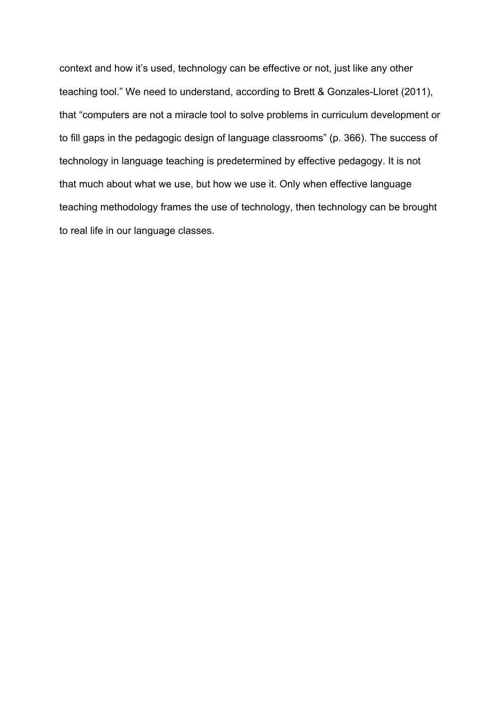context and how it's used, technology can be effective or not, just like any other teaching tool." We need to understand, according to Brett & Gonzales-Lloret (2011), that "computers are not a miracle tool to solve problems in curriculum development or to fill gaps in the pedagogic design of language classrooms" (p. 366). The success of technology in language teaching is predetermined by effective pedagogy. It is not that much about what we use, but how we use it. Only when effective language teaching methodology frames the use of technology, then technology can be brought to real life in our language classes.